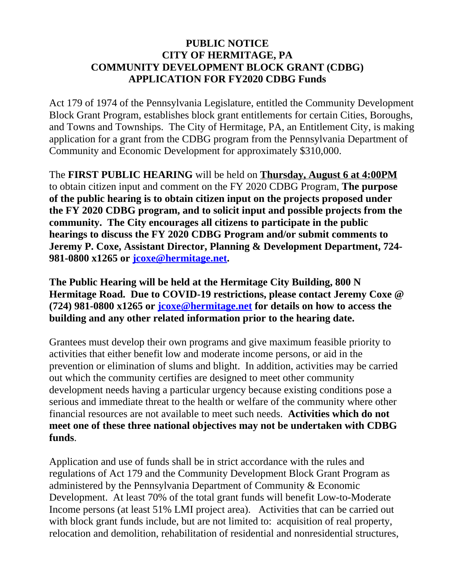## **PUBLIC NOTICE CITY OF HERMITAGE, PA COMMUNITY DEVELOPMENT BLOCK GRANT (CDBG) APPLICATION FOR FY2020 CDBG Funds**

Act 179 of 1974 of the Pennsylvania Legislature, entitled the Community Development Block Grant Program, establishes block grant entitlements for certain Cities, Boroughs, and Towns and Townships. The City of Hermitage, PA, an Entitlement City, is making application for a grant from the CDBG program from the Pennsylvania Department of Community and Economic Development for approximately \$310,000.

The **FIRST PUBLIC HEARING** will be held on **Thursday, August 6 at 4:00PM** to obtain citizen input and comment on the FY 2020 CDBG Program, **The purpose of the public hearing is to obtain citizen input on the projects proposed under the FY 2020 CDBG program, and to solicit input and possible projects from the community. The City encourages all citizens to participate in the public hearings to discuss the FY 2020 CDBG Program and/or submit comments to Jeremy P. Coxe, Assistant Director, Planning & Development Department, 724- 981-0800 x1265 or [jcoxe@hermitage.net.](mailto:jcoxe@hermitage.net)**

**The Public Hearing will be held at the Hermitage City Building, 800 N Hermitage Road. Due to COVID-19 restrictions, please contact Jeremy Coxe @ (724) 981-0800 x1265 or [jcoxe@hermitage.net](mailto:jcoxe@hermitage.net) for details on how to access the building and any other related information prior to the hearing date.**

Grantees must develop their own programs and give maximum feasible priority to activities that either benefit low and moderate income persons, or aid in the prevention or elimination of slums and blight. In addition, activities may be carried out which the community certifies are designed to meet other community development needs having a particular urgency because existing conditions pose a serious and immediate threat to the health or welfare of the community where other financial resources are not available to meet such needs. **Activities which do not meet one of these three national objectives may not be undertaken with CDBG funds**.

Application and use of funds shall be in strict accordance with the rules and regulations of Act 179 and the Community Development Block Grant Program as administered by the Pennsylvania Department of Community & Economic Development. At least 70% of the total grant funds will benefit Low-to-Moderate Income persons (at least 51% LMI project area). Activities that can be carried out with block grant funds include, but are not limited to: acquisition of real property, relocation and demolition, rehabilitation of residential and nonresidential structures,